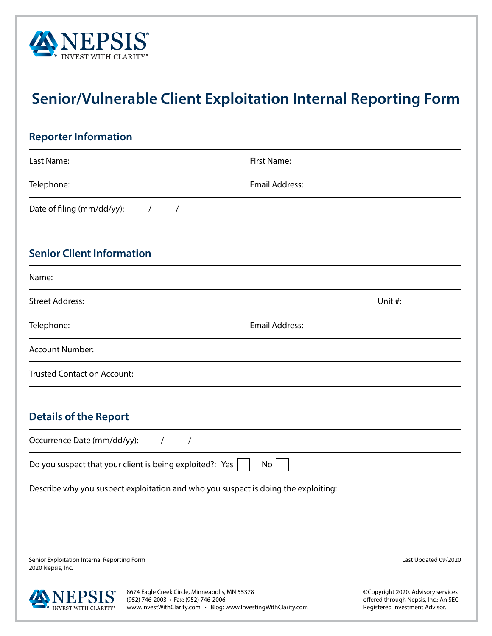

## **Senior/Vulnerable Client Exploitation Internal Reporting Form**

| <b>Reporter Information</b>                                                        |                                   |  |
|------------------------------------------------------------------------------------|-----------------------------------|--|
| Last Name:                                                                         | First Name:                       |  |
| Telephone:                                                                         | <b>Email Address:</b>             |  |
| Date of filing (mm/dd/yy):<br>$\sqrt{2}$<br>$\overline{1}$                         |                                   |  |
| <b>Senior Client Information</b>                                                   |                                   |  |
| Name:                                                                              |                                   |  |
| <b>Street Address:</b>                                                             | Unit #:                           |  |
| Telephone:                                                                         | <b>Email Address:</b>             |  |
| <b>Account Number:</b>                                                             |                                   |  |
| <b>Trusted Contact on Account:</b>                                                 |                                   |  |
| <b>Details of the Report</b>                                                       |                                   |  |
| Occurrence Date (mm/dd/yy):<br>$\sqrt{2}$<br>$\sqrt{2}$                            |                                   |  |
| Do you suspect that your client is being exploited?: Yes                           | No                                |  |
| Describe why you suspect exploitation and who you suspect is doing the exploiting: |                                   |  |
|                                                                                    |                                   |  |
|                                                                                    |                                   |  |
| Senior Exploitation Internal Reporting Form<br>2020 Nepsis, Inc.                   | Last Updated 09/2020              |  |
| 8674 Eagle Creek Circle Minneapolis MN 55378                                       | @Convright 2020 Advisory services |  |

agle Creek Circle, Minneapolis, MN 55378 **ANNEPSIS 607-Lagre Creek Critics, Millineapons**, www.InvestWithClarity.com • Blog: www.InvestingWithClarity.com

©Copyright 2020. Advisory services offered through Nepsis, Inc.: An SEC Registered Investment Advisor.